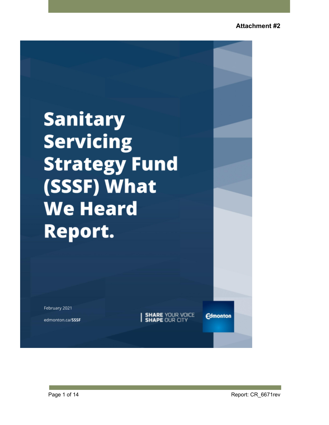# **Sanitary Servicing Strategy Fund** (SSSF) What **We Heard Report.**

February 2021

edmonton.ca/SSSF

**SHARE YOUR VOICE**<br>**SHAPE OUR CITY** 

**Edmonton**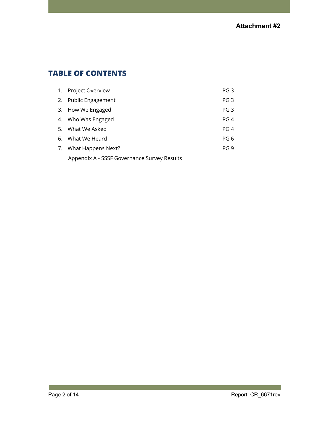# **TABLE OF CONTENTS**

| 1. Project Overview                         | PG <sub>3</sub> |
|---------------------------------------------|-----------------|
| 2. Public Engagement                        | PG <sub>3</sub> |
| 3. How We Engaged                           | PG <sub>3</sub> |
| 4. Who Was Engaged                          | PG 4            |
| 5. What We Asked                            | PG 4            |
| 6. What We Heard                            | PG <sub>6</sub> |
| 7. What Happens Next?                       | PG <sub>9</sub> |
| Appendix A - SSSF Governance Survey Results |                 |

**Tara**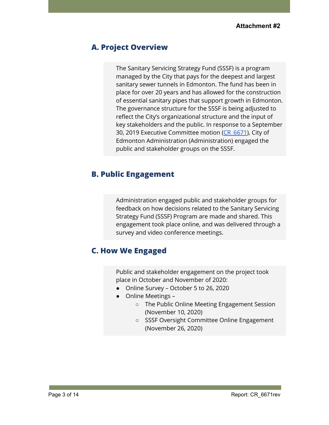## **A. Project Overview**

The Sanitary Servicing Strategy Fund (SSSF) is a program managed by the City that pays for the deepest and largest sanitary sewer tunnels in Edmonton. The fund has been in place for over 20 years and has allowed for the construction of essential sanitary pipes that support growth in Edmonton. The governance structure for the SSSF is being adjusted to reflect the City's organizational structure and the input of key stakeholders and the public. In response to a September 30, 2019 Executive Committee motion (CR 6671), City of Edmonton Administration (Administration) engaged the public and stakeholder groups on the SSSF.

## **B. Public Engagement**

Administration engaged public and stakeholder groups for feedback on how decisions related to the Sanitary Servicing Strategy Fund (SSSF) Program are made and shared. This engagement took place online, and was delivered through a survey and video conference meetings.

## **C. How We Engaged**

Public and stakeholder engagement on the project took place in October and November of 2020:

- Online Survey October 5 to 26, 2020
- Online Meetings -
	- The Public Online Meeting Engagement Session (November 10, 2020)
	- SSSF Oversight Committee Online Engagement (November 26, 2020)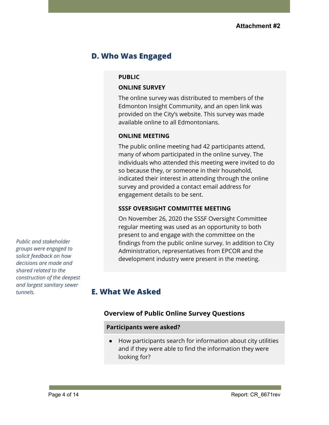# **D. Who Was Engaged**

#### **PUBLIC**

#### **ONLINE SURVEY**

The online survey was distributed to members of the Edmonton Insight Community, and an open link was provided on the City's website. This survey was made available online to all Edmontonians.

#### **ONLINE MEETING**

The public online meeting had 42 participants attend, many of whom participated in the online survey. The individuals who attended this meeting were invited to do so because they, or someone in their household, indicated their interest in attending through the online survey and provided a contact email address for engagement details to be sent.

#### **SSSF OVERSIGHT COMMITTEE MEETING**

On November 26, 2020 the SSSF Oversight Committee regular meeting was used as an opportunity to both present to and engage with the committee on the findings from the public online survey. In addition to City Administration, representatives from EPCOR and the development industry were present in the meeting.

**E. What We Asked**

## **Overview of Public Online Survey Questions**

#### **Participants were asked?**

● How participants search for information about city utilities and if they were able to find the information they were looking for?

*Public and stakeholder groups were engaged to solicit feedback on how decisions are made and shared related to the construction of the deepest and largest sanitary sewer tunnels.*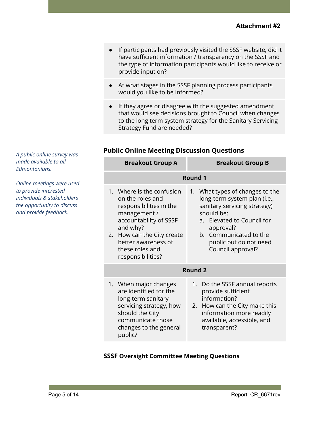- If participants had previously visited the SSSF website, did it have sufficient information / transparency on the SSSF and the type of information participants would like to receive or provide input on?
- At what stages in the SSSF planning process participants would you like to be informed?
- If they agree or disagree with the suggested amendment that would see decisions brought to Council when changes to the long term system strategy for the Sanitary Servicing Strategy Fund are needed?

| <b>Breakout Group A</b>                                                                                                                                                                                                        | <b>Breakout Group B</b>                                                                                                                                                                                                           |  |
|--------------------------------------------------------------------------------------------------------------------------------------------------------------------------------------------------------------------------------|-----------------------------------------------------------------------------------------------------------------------------------------------------------------------------------------------------------------------------------|--|
| Round 1                                                                                                                                                                                                                        |                                                                                                                                                                                                                                   |  |
| 1. Where is the confusion<br>on the roles and<br>responsibilities in the<br>management /<br>accountability of SSSF<br>and why?<br>How can the City create<br>2.<br>better awareness of<br>these roles and<br>responsibilities? | 1. What types of changes to the<br>long-term system plan (i.e.,<br>sanitary servicing strategy)<br>should be:<br>a. Elevated to Council for<br>approval?<br>b. Communicated to the<br>public but do not need<br>Council approval? |  |
|                                                                                                                                                                                                                                | <b>Round 2</b>                                                                                                                                                                                                                    |  |
| 1. When major changes<br>are identified for the<br>long-term sanitary<br>servicing strategy, how<br>should the City<br>communicate those<br>changes to the general<br>public?                                                  | Do the SSSF annual reports<br>1.<br>provide sufficient<br>information?<br>2. How can the City make this<br>information more readily<br>available, accessible, and<br>transparent?                                                 |  |

## **Public Online Meeting Discussion Questions**

**SSSF Oversight Committee Meeting Questions**

*A public online survey was made available to all Edmontonians.*

*Online meetings were used to provide interested individuals & stakeholders the opportunity to discuss and provide feedback.*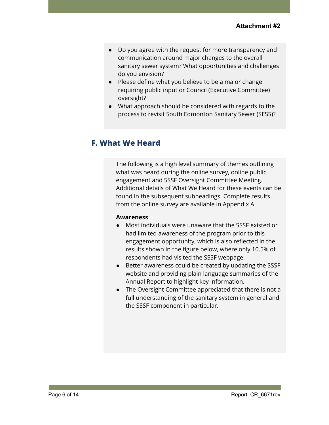- **●** Do you agree with the request for more transparency and communication around major changes to the overall sanitary sewer system? What opportunities and challenges do you envision?
- Please define what you believe to be a major change requiring public input or Council (Executive Committee) oversight?
- What approach should be considered with regards to the process to revisit South Edmonton Sanitary Sewer (SESS)?

## **F. What We Heard**

The following is a high level summary of themes outlining what was heard during the online survey, online public engagement and SSSF Oversight Committee Meeting. Additional details of What We Heard for these events can be found in the subsequent subheadings. Complete results from the online survey are available in Appendix A.

#### **Awareness**

- Most individuals were unaware that the SSSF existed or had limited awareness of the program prior to this engagement opportunity, which is also reflected in the results shown in the figure below, where only 10.5% of respondents had visited the SSSF webpage.
- Better awareness could be created by updating the SSSF website and providing plain language summaries of the Annual Report to highlight key information.
- The Oversight Committee appreciated that there is not a full understanding of the sanitary system in general and the SSSF component in particular.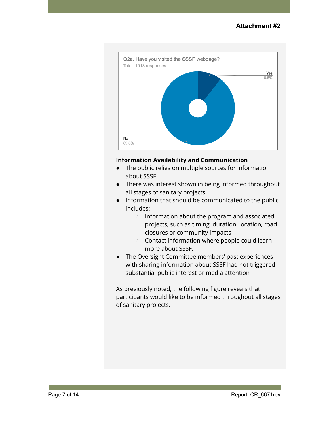

## **Information Availability and Communication**

- The public relies on multiple sources for information about SSSF.
- There was interest shown in being informed throughout all stages of sanitary projects.
- Information that should be communicated to the public includes:
	- Information about the program and associated projects, such as timing, duration, location, road closures or community impacts
	- Contact information where people could learn more about SSSF.
- The Oversight Committee members' past experiences with sharing information about SSSF had not triggered substantial public interest or media attention

As previously noted, the following figure reveals that participants would like to be informed throughout all stages of sanitary projects.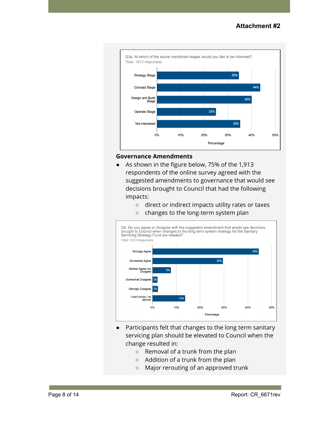

#### **Governance Amendments**

- As shown in the figure below, 75% of the 1,913 respondents of the online survey agreed with the suggested amendments to governance that would see decisions brought to Council that had the following impacts:
	- direct or indirect impacts utility rates or taxes
	- changes to the long-term system plan



- Participants felt that changes to the long term sanitary servicing plan should be elevated to Council when the change resulted in:
	- Removal of a trunk from the plan
	- Addition of a trunk from the plan
	- Major rerouting of an approved trunk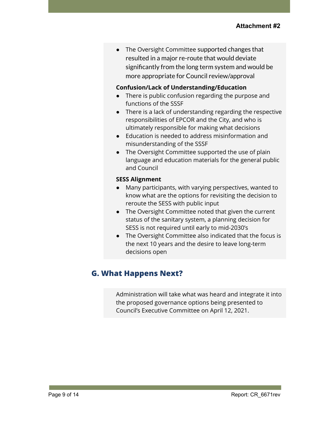The Oversight Committee supported changes that resulted in a major re-route that would deviate significantly from the long term system and would be more appropriate for Council review/approval

### **Confusion/Lack of Understanding/Education**

- There is public confusion regarding the purpose and functions of the SSSF
- There is a lack of understanding regarding the respective responsibilities of EPCOR and the City, and who is ultimately responsible for making what decisions
- Education is needed to address misinformation and misunderstanding of the SSSF
- The Oversight Committee supported the use of plain language and education materials for the general public and Council

#### **SESS Alignment**

- Many participants, with varying perspectives, wanted to know what are the options for revisiting the decision to reroute the SESS with public input
- The Oversight Committee noted that given the current status of the sanitary system, a planning decision for SESS is not required until early to mid-2030's
- The Oversight Committee also indicated that the focus is the next 10 years and the desire to leave long-term decisions open

# **G. What Happens Next?**

Administration will take what was heard and integrate it into the proposed governance options being presented to Council's Executive Committee on April 12, 2021.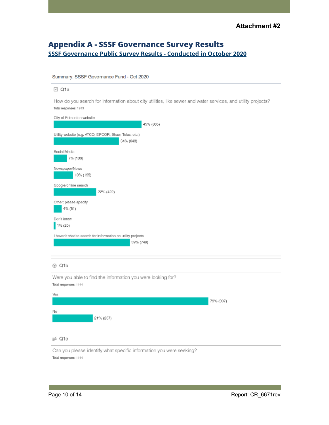## **Appendix A - SSSF Governance Survey Results SSSF [Governance](https://drive.google.com/file/d/1zMqFFmDfFHMVnSPZi1OnLDk3xf0We-oF/view?usp=sharing) Public Survey Results - Conducted in October 2020**

#### Summary: SSSF Governance Fund - Oct 2020

| $\boxdot$ Q1a                                                                                                                         |
|---------------------------------------------------------------------------------------------------------------------------------------|
| How do you search for information about city utilities, like sewer and water services, and utility projects?<br>Total responses: 1913 |
| City of Edmonton website<br>45% (865)                                                                                                 |
| Utility website (e.g. ATCO, EPCOR, Shaw, Telus, etc.)<br>34% (643)                                                                    |
| Social Media<br>7% (133)                                                                                                              |
| Newspaper/News<br>10% (195)                                                                                                           |
| Google/online search<br>22% (422)                                                                                                     |
| Other: please specify<br>4% (81)                                                                                                      |
| Don't know<br>1% (20)                                                                                                                 |
| I haven't tried to search for information on utility projects<br>39% (749)                                                            |
| $@$ Q1b                                                                                                                               |
| Were you able to find the information you were looking for?<br>Total responses: 1144                                                  |
| Yes<br>79% (907)                                                                                                                      |
| No<br>21% (237)                                                                                                                       |
| $\equiv$ Q <sub>1c</sub>                                                                                                              |
| Can you please identify what specific information you were seeking?<br>Total responses: 1144                                          |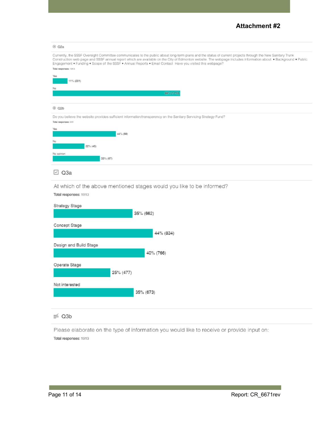## **Attachment #2**

| $@$ Q <sub>2a</sub>                                                                                                                                                                                                                                                                                                                                                                                                                                                |
|--------------------------------------------------------------------------------------------------------------------------------------------------------------------------------------------------------------------------------------------------------------------------------------------------------------------------------------------------------------------------------------------------------------------------------------------------------------------|
| Currently, the SSSF Oversight Committee communicates to the public about long-term plans and the status of current projects through the New Sanitary Trunk<br>Construction web page and SSSF annual report which are available on the City of Edmonton website. The webpage includes information about: . Background . Public<br>Engagement . Funding . Scope of the SSSF . Annual Reports . Email Contact Have you visited this webpage?<br>Total responses: 1913 |
| Yes<br>11% (201)                                                                                                                                                                                                                                                                                                                                                                                                                                                   |
| No                                                                                                                                                                                                                                                                                                                                                                                                                                                                 |
| 89% (1,712)                                                                                                                                                                                                                                                                                                                                                                                                                                                        |
|                                                                                                                                                                                                                                                                                                                                                                                                                                                                    |
| $@$ Q <sub>2</sub> b                                                                                                                                                                                                                                                                                                                                                                                                                                               |
| Do you believe the website provides sufficient information/transparency on the Sanitary Servicing Strategy Fund?<br>Total responses: 201                                                                                                                                                                                                                                                                                                                           |
| Yes<br>44% (B9)                                                                                                                                                                                                                                                                                                                                                                                                                                                    |
| No                                                                                                                                                                                                                                                                                                                                                                                                                                                                 |
| 22% (45)                                                                                                                                                                                                                                                                                                                                                                                                                                                           |
| No opinion<br>33% (67)                                                                                                                                                                                                                                                                                                                                                                                                                                             |
|                                                                                                                                                                                                                                                                                                                                                                                                                                                                    |
| $\boxdot$ Q3a                                                                                                                                                                                                                                                                                                                                                                                                                                                      |
| At which of the above mentioned stages would you like to be informed?                                                                                                                                                                                                                                                                                                                                                                                              |
| Total responses: 1913                                                                                                                                                                                                                                                                                                                                                                                                                                              |
|                                                                                                                                                                                                                                                                                                                                                                                                                                                                    |
| Strategy Stage<br>35% (662)                                                                                                                                                                                                                                                                                                                                                                                                                                        |
|                                                                                                                                                                                                                                                                                                                                                                                                                                                                    |
| Concept Stage                                                                                                                                                                                                                                                                                                                                                                                                                                                      |
| 44% (834)                                                                                                                                                                                                                                                                                                                                                                                                                                                          |
| Design and Build Stage                                                                                                                                                                                                                                                                                                                                                                                                                                             |
| 40% (766)                                                                                                                                                                                                                                                                                                                                                                                                                                                          |
|                                                                                                                                                                                                                                                                                                                                                                                                                                                                    |
| Operate Stage                                                                                                                                                                                                                                                                                                                                                                                                                                                      |
| 25% (477)                                                                                                                                                                                                                                                                                                                                                                                                                                                          |
| Not interested                                                                                                                                                                                                                                                                                                                                                                                                                                                     |
| 35% (673)                                                                                                                                                                                                                                                                                                                                                                                                                                                          |
|                                                                                                                                                                                                                                                                                                                                                                                                                                                                    |
|                                                                                                                                                                                                                                                                                                                                                                                                                                                                    |

#### $\equiv$  Q3b

Please elaborate on the type of information you would like to receive or provide input on: Total responses: 1913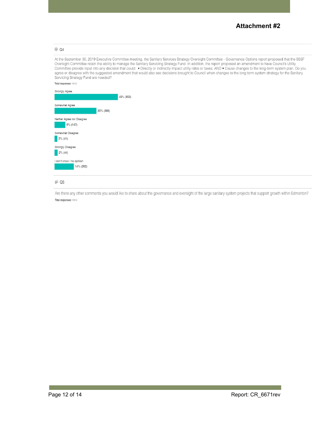### **Attachment #2**

#### $@$  Q4

At the September 30, 2019 Executive Committee meeting, the Sanitary Services Strategy Oversight Committee - Governance Options report proposed that the SSSF Oversight Committee retain the ability to manage the Sanitary Servicing Strategy Fund. In addition, the report proposed an amendment to have Council's Utility Committee provide input into any decision that could: . Directly or indirectly impact utility rates or taxes; AND . Cause changes to the long-term system plan. Do you agree or disagree with the suggested amendment that wou Servicing Strategy Fund are needed?



#### $\equiv$  Q5

Are there any other comments you would like to share about the governance and oversight of the large sanitary system projects that support growth within Edmonton? Total responses: 1913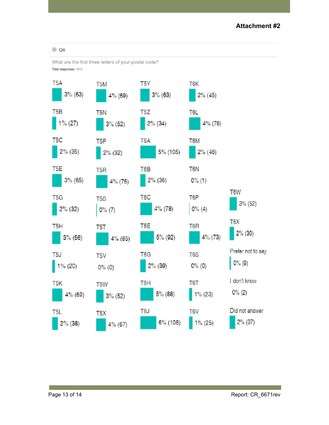